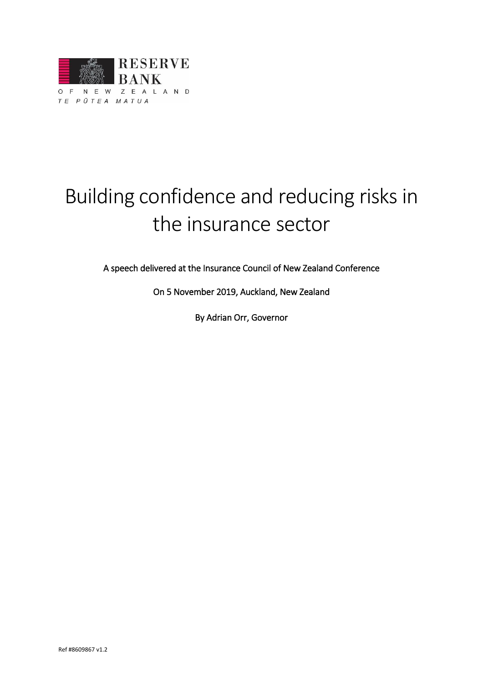

# Building confidence and reducing risks in the insurance sector

A speech delivered at the Insurance Council of New Zealand Conference

On 5 November 2019, Auckland, New Zealand

By Adrian Orr, Governor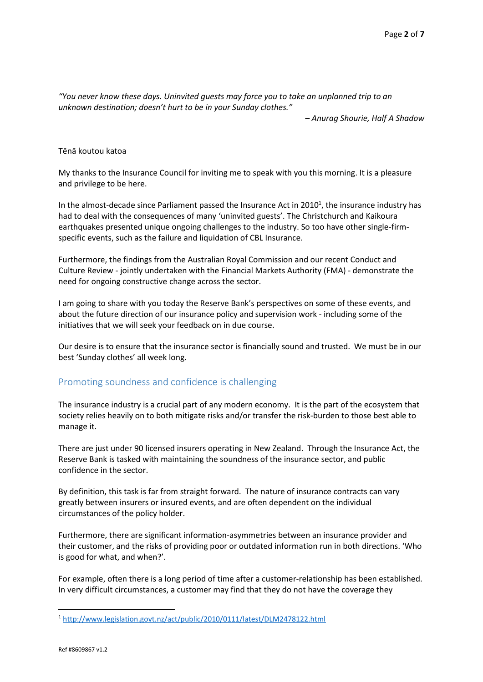*"You never know these days. Uninvited guests may force you to take an unplanned trip to an unknown destination; doesn't hurt to be in your Sunday clothes."* 

*– Anurag Shourie, Half A Shadow*

#### Tēnā koutou katoa

My thanks to the Insurance Council for inviting me to speak with you this morning. It is a pleasure and privilege to be here.

In the almost-decade since Parliament passed the Insurance Act in 2010<sup>1</sup>, the insurance industry has had to deal with the consequences of many 'uninvited guests'. The Christchurch and Kaikoura earthquakes presented unique ongoing challenges to the industry. So too have other single-firmspecific events, such as the failure and liquidation of CBL Insurance.

Furthermore, the findings from the Australian Royal Commission and our recent Conduct and Culture Review - jointly undertaken with the Financial Markets Authority (FMA) - demonstrate the need for ongoing constructive change across the sector.

I am going to share with you today the Reserve Bank's perspectives on some of these events, and about the future direction of our insurance policy and supervision work - including some of the initiatives that we will seek your feedback on in due course.

Our desire is to ensure that the insurance sector is financially sound and trusted. We must be in our best 'Sunday clothes' all week long.

# Promoting soundness and confidence is challenging

The insurance industry is a crucial part of any modern economy. It is the part of the ecosystem that society relies heavily on to both mitigate risks and/or transfer the risk-burden to those best able to manage it.

There are just under 90 licensed insurers operating in New Zealand. Through the Insurance Act, the Reserve Bank is tasked with maintaining the soundness of the insurance sector, and public confidence in the sector.

By definition, this task is far from straight forward. The nature of insurance contracts can vary greatly between insurers or insured events, and are often dependent on the individual circumstances of the policy holder.

Furthermore, there are significant information-asymmetries between an insurance provider and their customer, and the risks of providing poor or outdated information run in both directions. 'Who is good for what, and when?'.

For example, often there is a long period of time after a customer-relationship has been established. In very difficult circumstances, a customer may find that they do not have the coverage they

**.** 

<sup>1</sup> <http://www.legislation.govt.nz/act/public/2010/0111/latest/DLM2478122.html>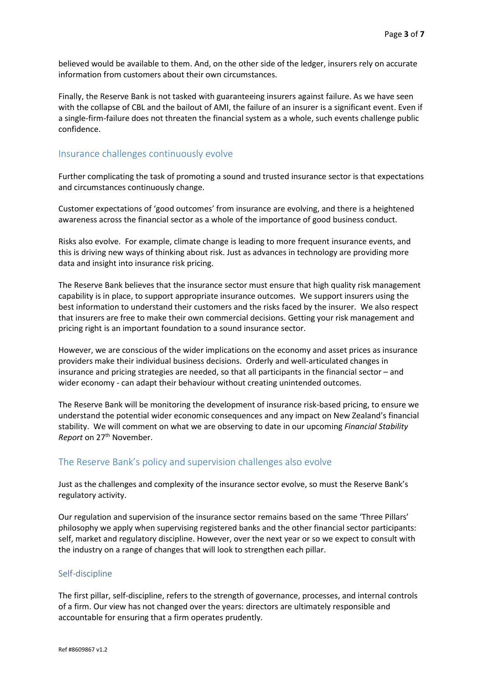believed would be available to them. And, on the other side of the ledger, insurers rely on accurate information from customers about their own circumstances.

Finally, the Reserve Bank is not tasked with guaranteeing insurers against failure. As we have seen with the collapse of CBL and the bailout of AMI, the failure of an insurer is a significant event. Even if a single-firm-failure does not threaten the financial system as a whole, such events challenge public confidence.

#### Insurance challenges continuously evolve

Further complicating the task of promoting a sound and trusted insurance sector is that expectations and circumstances continuously change.

Customer expectations of 'good outcomes' from insurance are evolving, and there is a heightened awareness across the financial sector as a whole of the importance of good business conduct.

Risks also evolve. For example, climate change is leading to more frequent insurance events, and this is driving new ways of thinking about risk. Just as advances in technology are providing more data and insight into insurance risk pricing.

The Reserve Bank believes that the insurance sector must ensure that high quality risk management capability is in place, to support appropriate insurance outcomes. We support insurers using the best information to understand their customers and the risks faced by the insurer. We also respect that insurers are free to make their own commercial decisions. Getting your risk management and pricing right is an important foundation to a sound insurance sector.

However, we are conscious of the wider implications on the economy and asset prices as insurance providers make their individual business decisions. Orderly and well-articulated changes in insurance and pricing strategies are needed, so that all participants in the financial sector – and wider economy - can adapt their behaviour without creating unintended outcomes.

The Reserve Bank will be monitoring the development of insurance risk-based pricing, to ensure we understand the potential wider economic consequences and any impact on New Zealand's financial stability. We will comment on what we are observing to date in our upcoming *Financial Stability*  Report on 27<sup>th</sup> November.

# The Reserve Bank's policy and supervision challenges also evolve

Just as the challenges and complexity of the insurance sector evolve, so must the Reserve Bank's regulatory activity.

Our regulation and supervision of the insurance sector remains based on the same 'Three Pillars' philosophy we apply when supervising registered banks and the other financial sector participants: self, market and regulatory discipline. However, over the next year or so we expect to consult with the industry on a range of changes that will look to strengthen each pillar.

#### Self-discipline

The first pillar, self-discipline, refers to the strength of governance, processes, and internal controls of a firm. Our view has not changed over the years: directors are ultimately responsible and accountable for ensuring that a firm operates prudently.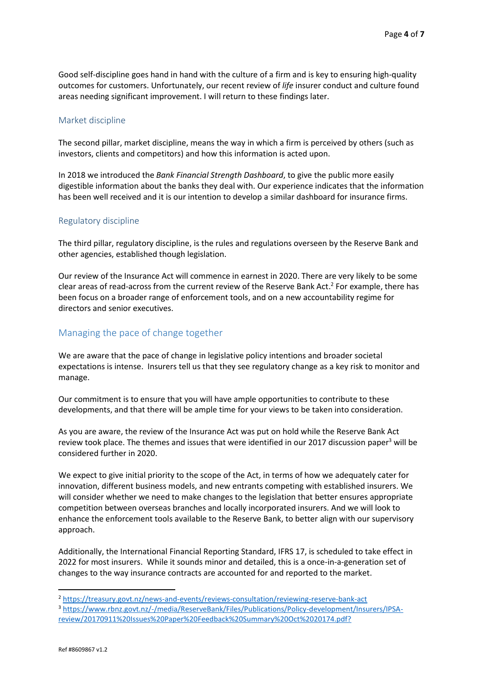Good self-discipline goes hand in hand with the culture of a firm and is key to ensuring high-quality outcomes for customers. Unfortunately, our recent review of *life* insurer conduct and culture found areas needing significant improvement. I will return to these findings later.

#### Market discipline

The second pillar, market discipline, means the way in which a firm is perceived by others (such as investors, clients and competitors) and how this information is acted upon.

In 2018 we introduced the *Bank Financial Strength Dashboard*, to give the public more easily digestible information about the banks they deal with. Our experience indicates that the information has been well received and it is our intention to develop a similar dashboard for insurance firms.

#### Regulatory discipline

The third pillar, regulatory discipline, is the rules and regulations overseen by the Reserve Bank and other agencies, established though legislation.

Our review of the Insurance Act will commence in earnest in 2020. There are very likely to be some clear areas of read-across from the current review of the Reserve Bank Act. 2 For example, there has been focus on a broader range of enforcement tools, and on a new accountability regime for directors and senior executives.

# Managing the pace of change together

We are aware that the pace of change in legislative policy intentions and broader societal expectations is intense. Insurers tell us that they see regulatory change as a key risk to monitor and manage.

Our commitment is to ensure that you will have ample opportunities to contribute to these developments, and that there will be ample time for your views to be taken into consideration.

As you are aware, the review of the Insurance Act was put on hold while the Reserve Bank Act review took place. The themes and issues that were identified in our 2017 discussion paper<sup>3</sup> will be considered further in 2020.

We expect to give initial priority to the scope of the Act, in terms of how we adequately cater for innovation, different business models, and new entrants competing with established insurers. We will consider whether we need to make changes to the legislation that better ensures appropriate competition between overseas branches and locally incorporated insurers. And we will look to enhance the enforcement tools available to the Reserve Bank, to better align with our supervisory approach.

Additionally, the International Financial Reporting Standard, IFRS 17, is scheduled to take effect in 2022 for most insurers. While it sounds minor and detailed, this is a once-in-a-generation set of changes to the way insurance contracts are accounted for and reported to the market.

**.** 

<sup>2</sup> <https://treasury.govt.nz/news-and-events/reviews-consultation/reviewing-reserve-bank-act>

<sup>3</sup> [https://www.rbnz.govt.nz/-/media/ReserveBank/Files/Publications/Policy-development/Insurers/IPSA](https://www.rbnz.govt.nz/-/media/ReserveBank/Files/Publications/Policy-development/Insurers/IPSA-review/20170911%20Issues%20Paper%20Feedback%20Summary%20Oct%2020174.pdf?)[review/20170911%20Issues%20Paper%20Feedback%20Summary%20Oct%2020174.pdf?](https://www.rbnz.govt.nz/-/media/ReserveBank/Files/Publications/Policy-development/Insurers/IPSA-review/20170911%20Issues%20Paper%20Feedback%20Summary%20Oct%2020174.pdf?)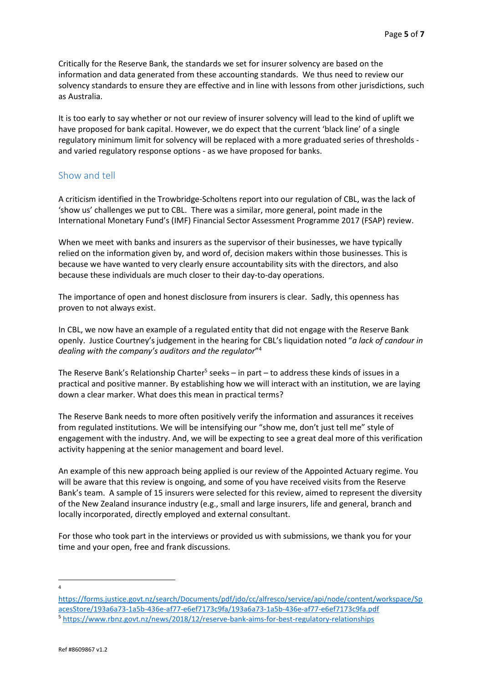Critically for the Reserve Bank, the standards we set for insurer solvency are based on the information and data generated from these accounting standards. We thus need to review our solvency standards to ensure they are effective and in line with lessons from other jurisdictions, such as Australia.

It is too early to say whether or not our review of insurer solvency will lead to the kind of uplift we have proposed for bank capital. However, we do expect that the current 'black line' of a single regulatory minimum limit for solvency will be replaced with a more graduated series of thresholds and varied regulatory response options - as we have proposed for banks.

# Show and tell

A criticism identified in the Trowbridge-Scholtens report into our regulation of CBL, was the lack of 'show us' challenges we put to CBL. There was a similar, more general, point made in the International Monetary Fund's (IMF) Financial Sector Assessment Programme 2017 (FSAP) review.

When we meet with banks and insurers as the supervisor of their businesses, we have typically relied on the information given by, and word of, decision makers within those businesses. This is because we have wanted to very clearly ensure accountability sits with the directors, and also because these individuals are much closer to their day-to-day operations.

The importance of open and honest disclosure from insurers is clear. Sadly, this openness has proven to not always exist.

In CBL, we now have an example of a regulated entity that did not engage with the Reserve Bank openly. Justice Courtney's judgement in the hearing for CBL's liquidation noted "*a lack of candour in dealing with the company's auditors and the regulator*" 4

The Reserve Bank's Relationship Charter<sup>5</sup> seeks – in part – to address these kinds of issues in a practical and positive manner. By establishing how we will interact with an institution, we are laying down a clear marker. What does this mean in practical terms?

The Reserve Bank needs to more often positively verify the information and assurances it receives from regulated institutions. We will be intensifying our "show me, don't just tell me" style of engagement with the industry. And, we will be expecting to see a great deal more of this verification activity happening at the senior management and board level.

An example of this new approach being applied is our review of the Appointed Actuary regime. You will be aware that this review is ongoing, and some of you have received visits from the Reserve Bank's team. A sample of 15 insurers were selected for this review, aimed to represent the diversity of the New Zealand insurance industry (e.g., small and large insurers, life and general, branch and locally incorporated, directly employed and external consultant.

For those who took part in the interviews or provided us with submissions, we thank you for your time and your open, free and frank discussions.

1 4

[https://forms.justice.govt.nz/search/Documents/pdf/jdo/cc/alfresco/service/api/node/content/workspace/Sp](https://forms.justice.govt.nz/search/Documents/pdf/jdo/cc/alfresco/service/api/node/content/workspace/SpacesStore/193a6a73-1a5b-436e-af77-e6ef7173c9fa/193a6a73-1a5b-436e-af77-e6ef7173c9fa.pdf) [acesStore/193a6a73-1a5b-436e-af77-e6ef7173c9fa/193a6a73-1a5b-436e-af77-e6ef7173c9fa.pdf](https://forms.justice.govt.nz/search/Documents/pdf/jdo/cc/alfresco/service/api/node/content/workspace/SpacesStore/193a6a73-1a5b-436e-af77-e6ef7173c9fa/193a6a73-1a5b-436e-af77-e6ef7173c9fa.pdf) <sup>5</sup> <https://www.rbnz.govt.nz/news/2018/12/reserve-bank-aims-for-best-regulatory-relationships>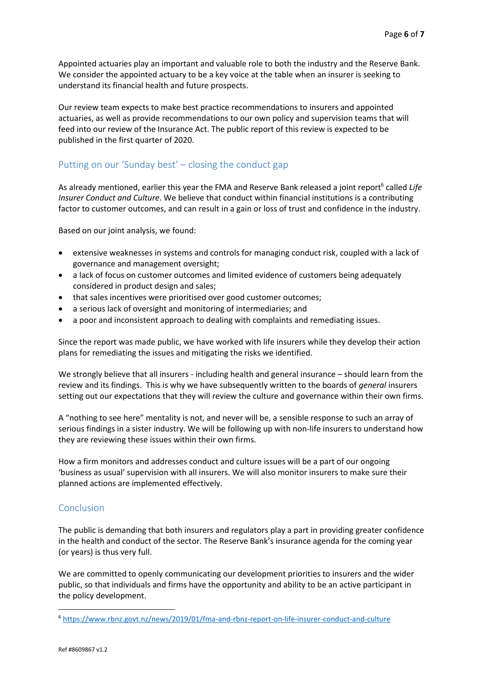Appointed actuaries play an important and valuable role to both the industry and the Reserve Bank. We consider the appointed actuary to be a key voice at the table when an insurer is seeking to understand its financial health and future prospects.

Our review team expects to make best practice recommendations to insurers and appointed actuaries, as well as provide recommendations to our own policy and supervision teams that will feed into our review of the Insurance Act. The public report of this review is expected to be published in the first quarter of 2020.

# Putting on our 'Sunday best' – closing the conduct gap

As already mentioned, earlier this year the FMA and Reserve Bank released a joint report<sup>6</sup> called Life *Insurer Conduct and Culture*. We believe that conduct within financial institutions is a contributing factor to customer outcomes, and can result in a gain or loss of trust and confidence in the industry.

Based on our joint analysis, we found:

- extensive weaknesses in systems and controls for managing conduct risk, coupled with a lack of governance and management oversight;
- a lack of focus on customer outcomes and limited evidence of customers being adequately considered in product design and sales;
- that sales incentives were prioritised over good customer outcomes:
- a serious lack of oversight and monitoring of intermediaries; and
- a poor and inconsistent approach to dealing with complaints and remediating issues.

Since the report was made public, we have worked with life insurers while they develop their action plans for remediating the issues and mitigating the risks we identified.

We strongly believe that all insurers - including health and general insurance – should learn from the review and its findings. This is why we have subsequently written to the boards of *general* insurers setting out our expectations that they will review the culture and governance within their own firms.

A "nothing to see here" mentality is not, and never will be, a sensible response to such an array of serious findings in a sister industry. We will be following up with non-life insurers to understand how they are reviewing these issues within their own firms.

How a firm monitors and addresses conduct and culture issues will be a part of our ongoing 'business as usual' supervision with all insurers. We will also monitor insurers to make sure their planned actions are implemented effectively.

# **Conclusion**

The public is demanding that both insurers and regulators play a part in providing greater confidence in the health and conduct of the sector. The Reserve Bank's insurance agenda for the coming year (or years) is thus very full.

We are committed to openly communicating our development priorities to insurers and the wider public, so that individuals and firms have the opportunity and ability to be an active participant in the policy development.

**.** 

<sup>6</sup> <https://www.rbnz.govt.nz/news/2019/01/fma-and-rbnz-report-on-life-insurer-conduct-and-culture>